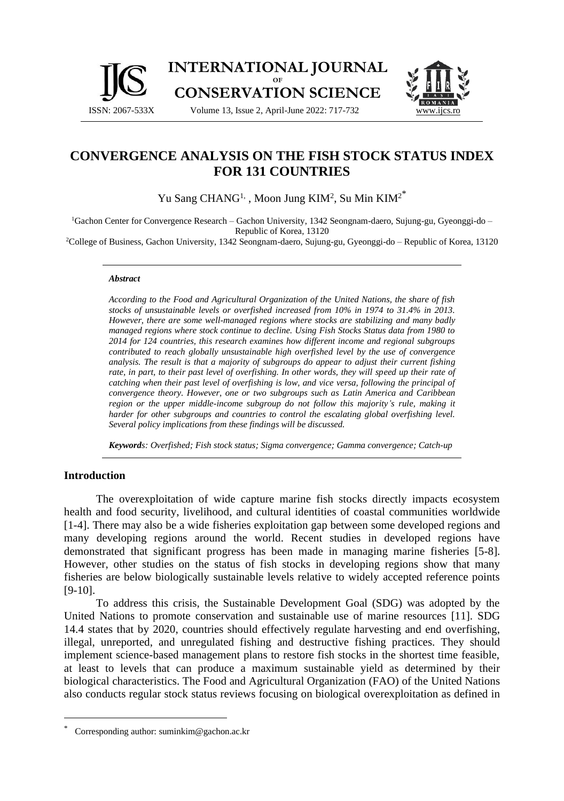



# **CONVERGENCE ANALYSIS ON THE FISH STOCK STATUS INDEX FOR 131 COUNTRIES**

Yu Sang CHANG<sup>1,</sup> , Moon Jung KIM<sup>2</sup>, Su Min KIM<sup>2\*</sup>

<sup>1</sup>Gachon Center for Convergence Research – Gachon University, 1342 Seongnam-daero, Sujung-gu, Gyeonggi-do – Republic of Korea, 13120

<sup>2</sup>College of Business, Gachon University, 1342 Seongnam-daero, Sujung-gu, Gyeonggi-do – Republic of Korea, 13120

#### *Abstract*

*According to the Food and Agricultural Organization of the United Nations, the share of fish stocks of unsustainable levels or overfished increased from 10% in 1974 to 31.4% in 2013. However, there are some well-managed regions where stocks are stabilizing and many badly managed regions where stock continue to decline. Using Fish Stocks Status data from 1980 to 2014 for 124 countries, this research examines how different income and regional subgroups contributed to reach globally unsustainable high overfished level by the use of convergence analysis. The result is that a majority of subgroups do appear to adjust their current fishing rate, in part, to their past level of overfishing. In other words, they will speed up their rate of catching when their past level of overfishing is low, and vice versa, following the principal of convergence theory. However, one or two subgroups such as Latin America and Caribbean region or the upper middle-income subgroup do not follow this majority's rule, making it harder for other subgroups and countries to control the escalating global overfishing level. Several policy implications from these findings will be discussed.* 

*Keywords: Overfished; Fish stock status; Sigma convergence; Gamma convergence; Catch-up*

## **Introduction**

The overexploitation of wide capture marine fish stocks directly impacts ecosystem health and food security, livelihood, and cultural identities of coastal communities worldwide [1-4]. There may also be a wide fisheries exploitation gap between some developed regions and many developing regions around the world. Recent studies in developed regions have demonstrated that significant progress has been made in managing marine fisheries [5-8]. However, other studies on the status of fish stocks in developing regions show that many fisheries are below biologically sustainable levels relative to widely accepted reference points [9-10].

To address this crisis, the Sustainable Development Goal (SDG) was adopted by the United Nations to promote conservation and sustainable use of marine resources [11]. SDG 14.4 states that by 2020, countries should effectively regulate harvesting and end overfishing, illegal, unreported, and unregulated fishing and destructive fishing practices. They should implement science-based management plans to restore fish stocks in the shortest time feasible, at least to levels that can produce a maximum sustainable yield as determined by their biological characteristics. The Food and Agricultural Organization (FAO) of the United Nations also conducts regular stock status reviews focusing on biological overexploitation as defined in

Corresponding author: suminkim@gachon.ac.kr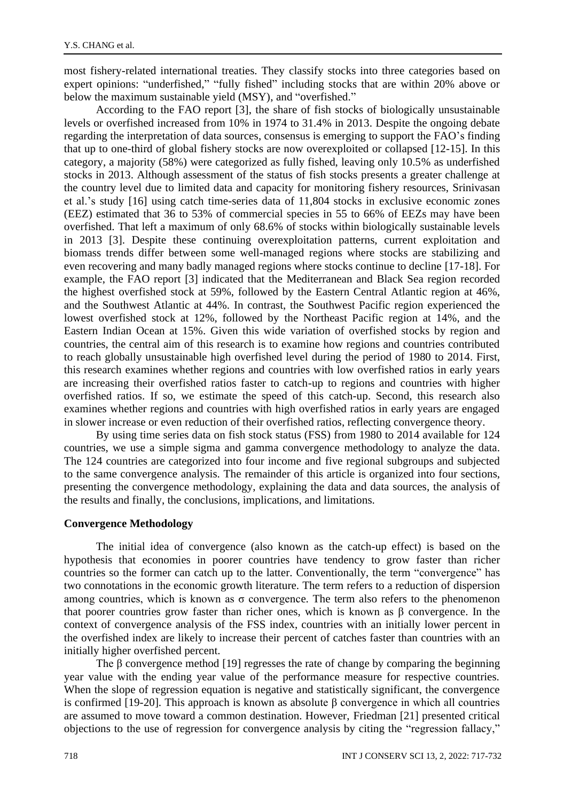most fishery-related international treaties. They classify stocks into three categories based on expert opinions: "underfished," "fully fished" including stocks that are within 20% above or below the maximum sustainable yield (MSY), and "overfished."

According to the FAO report [3], the share of fish stocks of biologically unsustainable levels or overfished increased from 10% in 1974 to 31.4% in 2013. Despite the ongoing debate regarding the interpretation of data sources, consensus is emerging to support the FAO's finding that up to one-third of global fishery stocks are now overexploited or collapsed [12-15]. In this category, a majority (58%) were categorized as fully fished, leaving only 10.5% as underfished stocks in 2013. Although assessment of the status of fish stocks presents a greater challenge at the country level due to limited data and capacity for monitoring fishery resources, Srinivasan et al.'s study [16] using catch time-series data of 11,804 stocks in exclusive economic zones (EEZ) estimated that 36 to 53% of commercial species in 55 to 66% of EEZs may have been overfished. That left a maximum of only 68.6% of stocks within biologically sustainable levels in 2013 [3]. Despite these continuing overexploitation patterns, current exploitation and biomass trends differ between some well-managed regions where stocks are stabilizing and even recovering and many badly managed regions where stocks continue to decline [17-18]. For example, the FAO report [3] indicated that the Mediterranean and Black Sea region recorded the highest overfished stock at 59%, followed by the Eastern Central Atlantic region at 46%, and the Southwest Atlantic at 44%. In contrast, the Southwest Pacific region experienced the lowest overfished stock at 12%, followed by the Northeast Pacific region at 14%, and the Eastern Indian Ocean at 15%. Given this wide variation of overfished stocks by region and countries, the central aim of this research is to examine how regions and countries contributed to reach globally unsustainable high overfished level during the period of 1980 to 2014. First, this research examines whether regions and countries with low overfished ratios in early years are increasing their overfished ratios faster to catch-up to regions and countries with higher overfished ratios. If so, we estimate the speed of this catch-up. Second, this research also examines whether regions and countries with high overfished ratios in early years are engaged in slower increase or even reduction of their overfished ratios, reflecting convergence theory.

By using time series data on fish stock status (FSS) from 1980 to 2014 available for 124 countries, we use a simple sigma and gamma convergence methodology to analyze the data. The 124 countries are categorized into four income and five regional subgroups and subjected to the same convergence analysis. The remainder of this article is organized into four sections, presenting the convergence methodology, explaining the data and data sources, the analysis of the results and finally, the conclusions, implications, and limitations.

## **Convergence Methodology**

The initial idea of convergence (also known as the catch-up effect) is based on the hypothesis that economies in poorer countries have tendency to grow faster than richer countries so the former can catch up to the latter. Conventionally, the term "convergence" has two connotations in the economic growth literature. The term refers to a reduction of dispersion among countries, which is known as  $\sigma$  convergence. The term also refers to the phenomenon that poorer countries grow faster than richer ones, which is known as β convergence. In the context of convergence analysis of the FSS index, countries with an initially lower percent in the overfished index are likely to increase their percent of catches faster than countries with an initially higher overfished percent.

The  $\beta$  convergence method [19] regresses the rate of change by comparing the beginning year value with the ending year value of the performance measure for respective countries. When the slope of regression equation is negative and statistically significant, the convergence is confirmed [19-20]. This approach is known as absolute β convergence in which all countries are assumed to move toward a common destination. However, Friedman [21] presented critical objections to the use of regression for convergence analysis by citing the "regression fallacy,"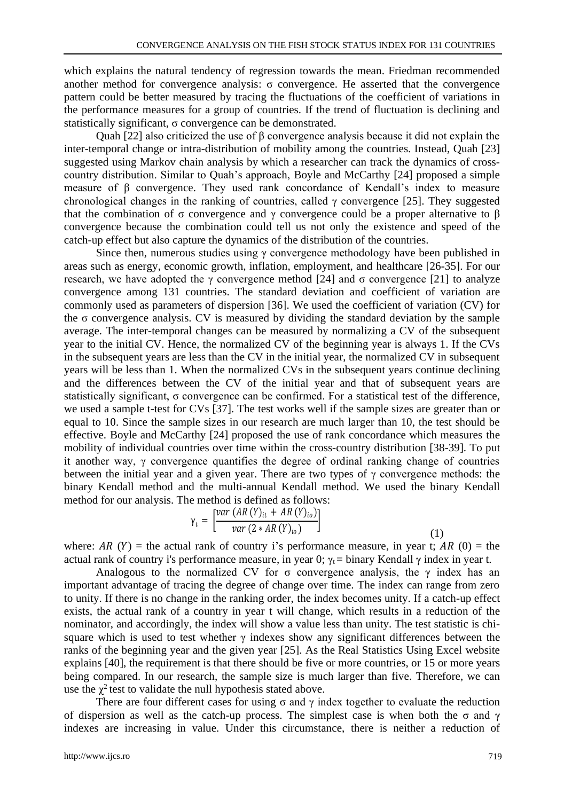which explains the natural tendency of regression towards the mean. Friedman recommended another method for convergence analysis: σ convergence. He asserted that the convergence pattern could be better measured by tracing the fluctuations of the coefficient of variations in the performance measures for a group of countries. If the trend of fluctuation is declining and statistically significant, σ convergence can be demonstrated.

Quah [22] also criticized the use of β convergence analysis because it did not explain the inter-temporal change or intra-distribution of mobility among the countries. Instead, Quah [23] suggested using Markov chain analysis by which a researcher can track the dynamics of crosscountry distribution. Similar to Quah's approach, Boyle and McCarthy [24] proposed a simple measure of  $\beta$  convergence. They used rank concordance of Kendall's index to measure chronological changes in the ranking of countries, called  $\gamma$  convergence [25]. They suggested that the combination of σ convergence and γ convergence could be a proper alternative to β convergence because the combination could tell us not only the existence and speed of the catch-up effect but also capture the dynamics of the distribution of the countries.

Since then, numerous studies using  $\gamma$  convergence methodology have been published in areas such as energy, economic growth, inflation, employment, and healthcare [26-35]. For our research, we have adopted the  $\gamma$  convergence method [24] and  $\sigma$  convergence [21] to analyze convergence among 131 countries. The standard deviation and coefficient of variation are commonly used as parameters of dispersion [36]. We used the coefficient of variation (CV) for the  $\sigma$  convergence analysis. CV is measured by dividing the standard deviation by the sample average. The inter-temporal changes can be measured by normalizing a CV of the subsequent year to the initial CV. Hence, the normalized CV of the beginning year is always 1. If the CVs in the subsequent years are less than the CV in the initial year, the normalized CV in subsequent years will be less than 1. When the normalized CVs in the subsequent years continue declining and the differences between the CV of the initial year and that of subsequent years are statistically significant,  $\sigma$  convergence can be confirmed. For a statistical test of the difference, we used a sample t-test for CVs [37]. The test works well if the sample sizes are greater than or equal to 10. Since the sample sizes in our research are much larger than 10, the test should be effective. Boyle and McCarthy [24] proposed the use of rank concordance which measures the mobility of individual countries over time within the cross-country distribution [38-39]. To put it another way, γ convergence quantifies the degree of ordinal ranking change of countries between the initial year and a given year. There are two types of  $\gamma$  convergence methods: the binary Kendall method and the multi-annual Kendall method. We used the binary Kendall method for our analysis. The method is defined as follows:

$$
\gamma_{t} = \left[ \frac{var (AR (Y)_{it} + AR (Y)_{io})}{var (2 * AR (Y)_{io})} \right]
$$
\n(1)

where: AR  $(Y)$  = the actual rank of country i's performance measure, in year t; AR  $(0)$  = the actual rank of country i's performance measure, in year 0;  $\gamma_t$  = binary Kendall  $\gamma$  index in year t.

Analogous to the normalized CV for  $\sigma$  convergence analysis, the  $\gamma$  index has an important advantage of tracing the degree of change over time. The index can range from zero to unity. If there is no change in the ranking order, the index becomes unity. If a catch-up effect exists, the actual rank of a country in year t will change, which results in a reduction of the nominator, and accordingly, the index will show a value less than unity. The test statistic is chisquare which is used to test whether  $\gamma$  indexes show any significant differences between the ranks of the beginning year and the given year [25]. As the Real Statistics Using Excel website explains [40], the requirement is that there should be five or more countries, or 15 or more years being compared. In our research, the sample size is much larger than five. Therefore, we can use the  $\chi^2$  test to validate the null hypothesis stated above.

There are four different cases for using  $\sigma$  and  $\gamma$  index together to evaluate the reduction of dispersion as well as the catch-up process. The simplest case is when both the σ and γ indexes are increasing in value. Under this circumstance, there is neither a reduction of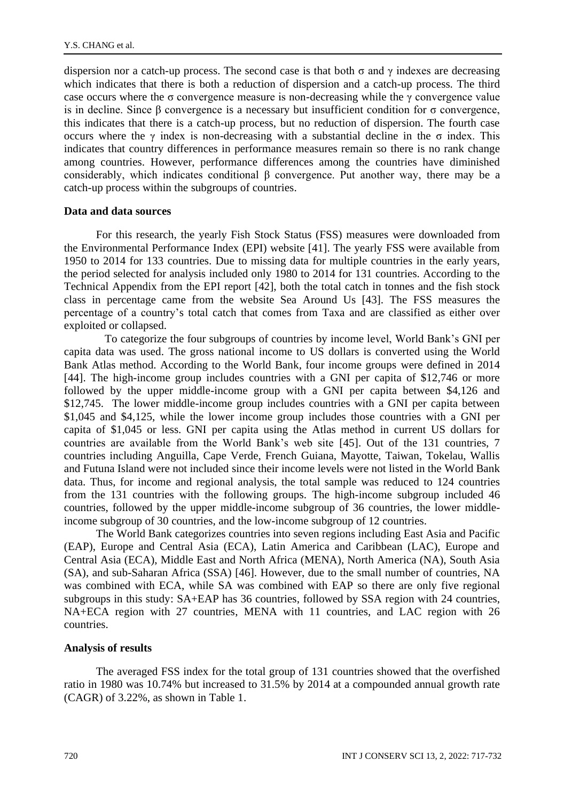dispersion nor a catch-up process. The second case is that both  $\sigma$  and  $\gamma$  indexes are decreasing which indicates that there is both a reduction of dispersion and a catch-up process. The third case occurs where the  $\sigma$  convergence measure is non-decreasing while the  $\gamma$  convergence value is in decline. Since β convergence is a necessary but insufficient condition for  $\sigma$  convergence, this indicates that there is a catch-up process, but no reduction of dispersion. The fourth case occurs where the  $\gamma$  index is non-decreasing with a substantial decline in the  $\sigma$  index. This indicates that country differences in performance measures remain so there is no rank change among countries. However, performance differences among the countries have diminished considerably, which indicates conditional β convergence. Put another way, there may be a catch-up process within the subgroups of countries.

#### **Data and data sources**

For this research, the yearly Fish Stock Status (FSS) measures were downloaded from the Environmental Performance Index (EPI) website [41]. The yearly FSS were available from 1950 to 2014 for 133 countries. Due to missing data for multiple countries in the early years, the period selected for analysis included only 1980 to 2014 for 131 countries. According to the Technical Appendix from the EPI report [42], both the total catch in tonnes and the fish stock class in percentage came from the website Sea Around Us [43]. The FSS measures the percentage of a country's total catch that comes from Taxa and are classified as either over exploited or collapsed.

To categorize the four subgroups of countries by income level, World Bank's GNI per capita data was used. The gross national income to US dollars is converted using the World Bank Atlas method. According to the World Bank, four income groups were defined in 2014 [44]. The high-income group includes countries with a GNI per capita of \$12,746 or more followed by the upper middle-income group with a GNI per capita between \$4,126 and \$12,745. The lower middle-income group includes countries with a GNI per capita between \$1,045 and \$4,125, while the lower income group includes those countries with a GNI per capita of \$1,045 or less. GNI per capita using the Atlas method in current US dollars for countries are available from the World Bank's web site [45]. Out of the 131 countries, 7 countries including Anguilla, Cape Verde, French Guiana, Mayotte, Taiwan, Tokelau, Wallis and Futuna Island were not included since their income levels were not listed in the World Bank data. Thus, for income and regional analysis, the total sample was reduced to 124 countries from the 131 countries with the following groups. The high-income subgroup included 46 countries, followed by the upper middle-income subgroup of 36 countries, the lower middleincome subgroup of 30 countries, and the low-income subgroup of 12 countries.

The World Bank categorizes countries into seven regions including East Asia and Pacific (EAP), Europe and Central Asia (ECA), Latin America and Caribbean (LAC), Europe and Central Asia (ECA), Middle East and North Africa (MENA), North America (NA), South Asia (SA), and sub-Saharan Africa (SSA) [46]. However, due to the small number of countries, NA was combined with ECA, while SA was combined with EAP so there are only five regional subgroups in this study: SA+EAP has 36 countries, followed by SSA region with 24 countries, NA+ECA region with 27 countries, MENA with 11 countries, and LAC region with 26 countries.

#### **Analysis of results**

The averaged FSS index for the total group of 131 countries showed that the overfished ratio in 1980 was 10.74% but increased to 31.5% by 2014 at a compounded annual growth rate (CAGR) of 3.22%, as shown in Table 1.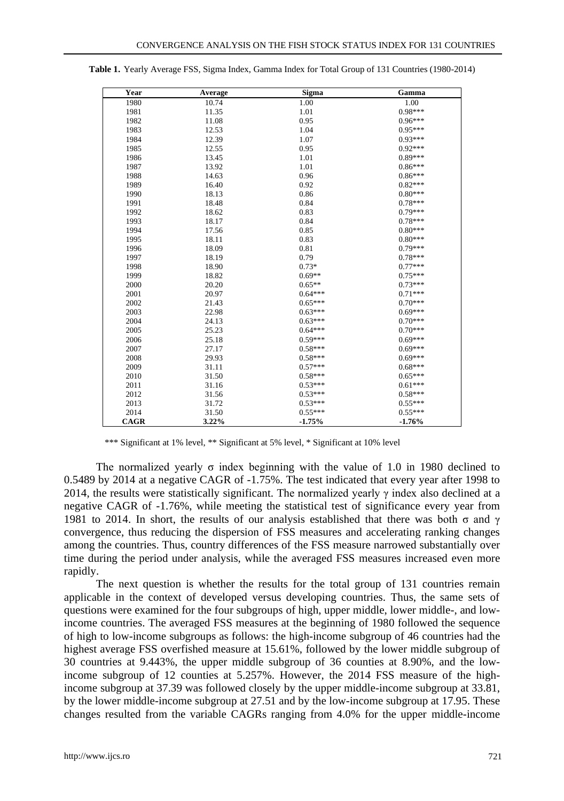| Year | Average | <b>Sigma</b> | Gamma     |
|------|---------|--------------|-----------|
| 1980 | 10.74   | 1.00         | 1.00      |
| 1981 | 11.35   | 1.01         | 0.98***   |
| 1982 | 11.08   | 0.95         | $0.96***$ |
| 1983 | 12.53   | 1.04         | $0.95***$ |
| 1984 | 12.39   | 1.07         | $0.93***$ |
| 1985 | 12.55   | 0.95         | $0.92***$ |
| 1986 | 13.45   | 1.01         | $0.89***$ |
| 1987 | 13.92   | 1.01         | $0.86***$ |
| 1988 | 14.63   | 0.96         | $0.86***$ |
| 1989 | 16.40   | 0.92         | $0.82***$ |
| 1990 | 18.13   | 0.86         | $0.80***$ |
| 1991 | 18.48   | 0.84         | $0.78***$ |
| 1992 | 18.62   | 0.83         | $0.79***$ |
| 1993 | 18.17   | 0.84         | $0.78***$ |
| 1994 | 17.56   | 0.85         | $0.80***$ |
| 1995 | 18.11   | 0.83         | $0.80***$ |
| 1996 | 18.09   | 0.81         | $0.79***$ |
| 1997 | 18.19   | 0.79         | $0.78***$ |
| 1998 | 18.90   | $0.73*$      | $0.77***$ |
| 1999 | 18.82   | $0.69**$     | $0.75***$ |
| 2000 | 20.20   | $0.65**$     | $0.73***$ |
| 2001 | 20.97   | $0.64***$    | $0.71***$ |
| 2002 | 21.43   | $0.65***$    | $0.70***$ |
| 2003 | 22.98   | $0.63***$    | $0.69***$ |
| 2004 | 24.13   | $0.63***$    | $0.70***$ |
| 2005 | 25.23   | $0.64***$    | $0.70***$ |
| 2006 | 25.18   | $0.59***$    | $0.69***$ |
| 2007 | 27.17   | $0.58***$    | $0.69***$ |
| 2008 | 29.93   | $0.58***$    | $0.69***$ |
| 2009 | 31.11   | $0.57***$    | $0.68***$ |
| 2010 | 31.50   | $0.58***$    | $0.65***$ |
| 2011 | 31.16   | $0.53***$    | $0.61***$ |
| 2012 | 31.56   | $0.53***$    | $0.58***$ |
| 2013 | 31.72   | $0.53***$    | $0.55***$ |
| 2014 | 31.50   | $0.55***$    | $0.55***$ |
| CAGR | 3.22%   | $-1.75%$     | $-1.76%$  |

**Table 1.** Yearly Average FSS, Sigma Index, Gamma Index for Total Group of 131 Countries (1980-2014)

\*\*\* Significant at 1% level, \*\* Significant at 5% level, \* Significant at 10% level

The normalized yearly  $\sigma$  index beginning with the value of 1.0 in 1980 declined to 0.5489 by 2014 at a negative CAGR of -1.75%. The test indicated that every year after 1998 to 2014, the results were statistically significant. The normalized yearly  $\gamma$  index also declined at a negative CAGR of -1.76%, while meeting the statistical test of significance every year from 1981 to 2014. In short, the results of our analysis established that there was both  $\sigma$  and  $\gamma$ convergence, thus reducing the dispersion of FSS measures and accelerating ranking changes among the countries. Thus, country differences of the FSS measure narrowed substantially over time during the period under analysis, while the averaged FSS measures increased even more rapidly.

The next question is whether the results for the total group of 131 countries remain applicable in the context of developed versus developing countries. Thus, the same sets of questions were examined for the four subgroups of high, upper middle, lower middle-, and lowincome countries. The averaged FSS measures at the beginning of 1980 followed the sequence of high to low-income subgroups as follows: the high-income subgroup of 46 countries had the highest average FSS overfished measure at 15.61%, followed by the lower middle subgroup of 30 countries at 9.443%, the upper middle subgroup of 36 counties at 8.90%, and the lowincome subgroup of 12 counties at 5.257%. However, the 2014 FSS measure of the highincome subgroup at 37.39 was followed closely by the upper middle-income subgroup at 33.81, by the lower middle-income subgroup at 27.51 and by the low-income subgroup at 17.95. These changes resulted from the variable CAGRs ranging from 4.0% for the upper middle-income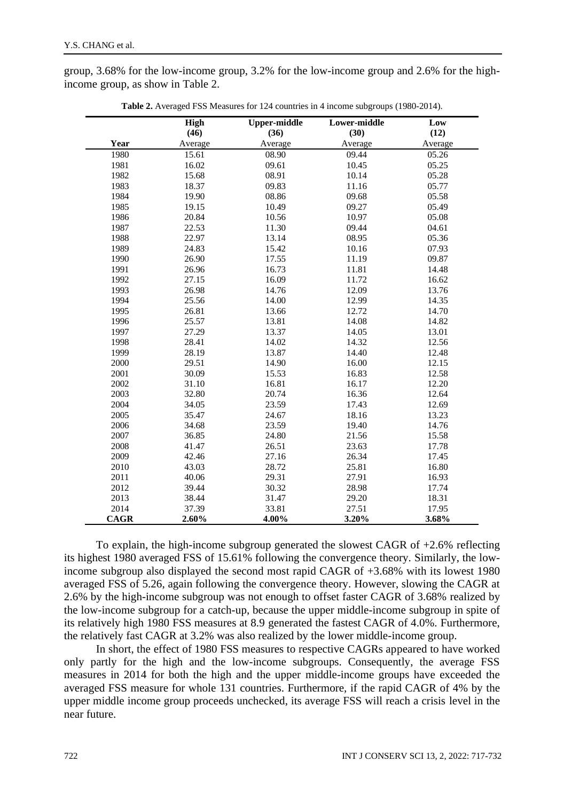group, 3.68% for the low-income group, 3.2% for the low-income group and 2.6% for the highincome group, as show in Table 2.

|             | High    | <b>Upper-middle</b> | Lower-middle | Low     |
|-------------|---------|---------------------|--------------|---------|
|             | (46)    | (36)                | (30)         | (12)    |
| Year        | Average | Average             | Average      | Average |
| 1980        | 15.61   | 08.90               | 09.44        | 05.26   |
| 1981        | 16.02   | 09.61               | 10.45        | 05.25   |
| 1982        | 15.68   | 08.91               | 10.14        | 05.28   |
| 1983        | 18.37   | 09.83               | 11.16        | 05.77   |
| 1984        | 19.90   | 08.86               | 09.68        | 05.58   |
| 1985        | 19.15   | 10.49               | 09.27        | 05.49   |
| 1986        | 20.84   | 10.56               | 10.97        | 05.08   |
| 1987        | 22.53   | 11.30               | 09.44        | 04.61   |
| 1988        | 22.97   | 13.14               | 08.95        | 05.36   |
| 1989        | 24.83   | 15.42               | 10.16        | 07.93   |
| 1990        | 26.90   | 17.55               | 11.19        | 09.87   |
| 1991        | 26.96   | 16.73               | 11.81        | 14.48   |
| 1992        | 27.15   | 16.09               | 11.72        | 16.62   |
| 1993        | 26.98   | 14.76               | 12.09        | 13.76   |
| 1994        | 25.56   | 14.00               | 12.99        | 14.35   |
| 1995        | 26.81   | 13.66               | 12.72        | 14.70   |
| 1996        | 25.57   | 13.81               | 14.08        | 14.82   |
| 1997        | 27.29   | 13.37               | 14.05        | 13.01   |
| 1998        | 28.41   | 14.02               | 14.32        | 12.56   |
| 1999        | 28.19   | 13.87               | 14.40        | 12.48   |
| 2000        | 29.51   | 14.90               | 16.00        | 12.15   |
| 2001        | 30.09   | 15.53               | 16.83        | 12.58   |
| 2002        | 31.10   | 16.81               | 16.17        | 12.20   |
| 2003        | 32.80   | 20.74               | 16.36        | 12.64   |
| 2004        | 34.05   | 23.59               | 17.43        | 12.69   |
| 2005        | 35.47   | 24.67               | 18.16        | 13.23   |
| 2006        | 34.68   | 23.59               | 19.40        | 14.76   |
| 2007        | 36.85   | 24.80               | 21.56        | 15.58   |
| 2008        | 41.47   | 26.51               | 23.63        | 17.78   |
| 2009        | 42.46   | 27.16               | 26.34        | 17.45   |
| 2010        | 43.03   | 28.72               | 25.81        | 16.80   |
| 2011        | 40.06   | 29.31               | 27.91        | 16.93   |
| 2012        | 39.44   | 30.32               | 28.98        | 17.74   |
| 2013        | 38.44   | 31.47               | 29.20        | 18.31   |
| 2014        | 37.39   | 33.81               | 27.51        | 17.95   |
| <b>CAGR</b> | 2.60%   | 4.00%               | 3.20%        | 3.68%   |

**Table 2.** Averaged FSS Measures for 124 countries in 4 income subgroups (1980-2014).

To explain, the high-income subgroup generated the slowest CAGR of  $+2.6\%$  reflecting its highest 1980 averaged FSS of 15.61% following the convergence theory. Similarly, the lowincome subgroup also displayed the second most rapid CAGR of +3.68% with its lowest 1980 averaged FSS of 5.26, again following the convergence theory. However, slowing the CAGR at 2.6% by the high-income subgroup was not enough to offset faster CAGR of 3.68% realized by the low-income subgroup for a catch-up, because the upper middle-income subgroup in spite of its relatively high 1980 FSS measures at 8.9 generated the fastest CAGR of 4.0%. Furthermore, the relatively fast CAGR at 3.2% was also realized by the lower middle-income group.

In short, the effect of 1980 FSS measures to respective CAGRs appeared to have worked only partly for the high and the low-income subgroups. Consequently, the average FSS measures in 2014 for both the high and the upper middle-income groups have exceeded the averaged FSS measure for whole 131 countries. Furthermore, if the rapid CAGR of 4% by the upper middle income group proceeds unchecked, its average FSS will reach a crisis level in the near future.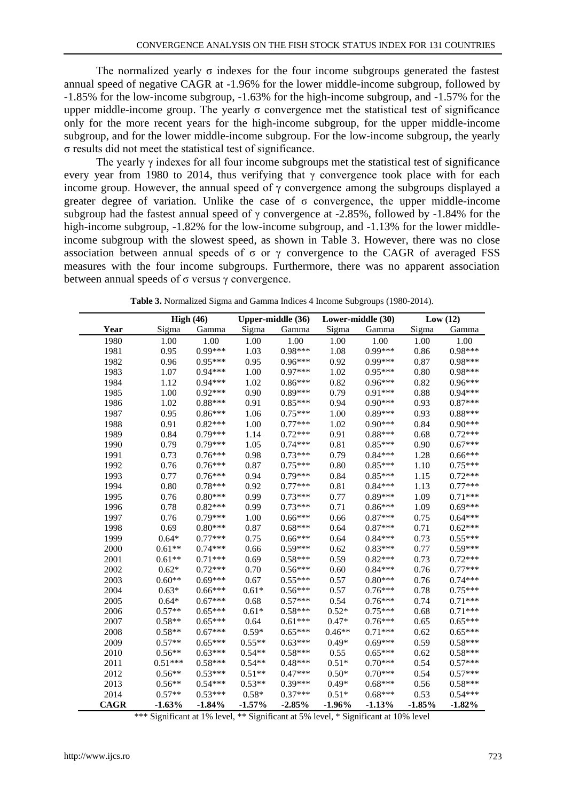The normalized yearly  $\sigma$  indexes for the four income subgroups generated the fastest annual speed of negative CAGR at -1.96% for the lower middle-income subgroup, followed by -1.85% for the low-income subgroup, -1.63% for the high-income subgroup, and -1.57% for the upper middle-income group. The yearly  $\sigma$  convergence met the statistical test of significance only for the more recent years for the high-income subgroup, for the upper middle-income subgroup, and for the lower middle-income subgroup. For the low-income subgroup, the yearly σ results did not meet the statistical test of significance.

The yearly  $\gamma$  indexes for all four income subgroups met the statistical test of significance every year from 1980 to 2014, thus verifying that  $\gamma$  convergence took place with for each income group. However, the annual speed of  $\gamma$  convergence among the subgroups displayed a greater degree of variation. Unlike the case of  $\sigma$  convergence, the upper middle-income subgroup had the fastest annual speed of  $\gamma$  convergence at -2.85%, followed by -1.84% for the high-income subgroup,  $-1.82\%$  for the low-income subgroup, and  $-1.13\%$  for the lower middleincome subgroup with the slowest speed, as shown in Table 3. However, there was no close association between annual speeds of  $\sigma$  or  $\gamma$  convergence to the CAGR of averaged FSS measures with the four income subgroups. Furthermore, there was no apparent association between annual speeds of  $σ$  versus  $γ$  convergence.

|             |           | High $(46)$ |          | Upper-middle (36) |          | Lower-middle (30) |          | Low(12)   |  |
|-------------|-----------|-------------|----------|-------------------|----------|-------------------|----------|-----------|--|
| Year        | Sigma     | Gamma       | Sigma    | Gamma             | Sigma    | Gamma             | Sigma    | Gamma     |  |
| 1980        | 1.00      | 1.00        | 1.00     | 1.00              | 1.00     | 1.00              | 1.00     | 1.00      |  |
| 1981        | 0.95      | $0.99***$   | 1.03     | $0.98***$         | 1.08     | $0.99***$         | 0.86     | $0.98***$ |  |
| 1982        | 0.96      | $0.95***$   | 0.95     | $0.96***$         | 0.92     | $0.99***$         | 0.87     | $0.98***$ |  |
| 1983        | 1.07      | $0.94***$   | 1.00     | $0.97***$         | 1.02     | $0.95***$         | 0.80     | $0.98***$ |  |
| 1984        | 1.12      | $0.94***$   | 1.02     | $0.86***$         | 0.82     | $0.96***$         | 0.82     | $0.96***$ |  |
| 1985        | 1.00      | $0.92***$   | 0.90     | $0.89***$         | 0.79     | $0.91***$         | 0.88     | $0.94***$ |  |
| 1986        | 1.02      | $0.88***$   | 0.91     | $0.85***$         | 0.94     | $0.90***$         | 0.93     | $0.87***$ |  |
| 1987        | 0.95      | $0.86***$   | 1.06     | $0.75***$         | 1.00     | $0.89***$         | 0.93     | $0.88***$ |  |
| 1988        | 0.91      | $0.82***$   | 1.00     | $0.77***$         | 1.02     | $0.90***$         | 0.84     | $0.90***$ |  |
| 1989        | 0.84      | $0.79***$   | 1.14     | $0.72***$         | 0.91     | $0.88***$         | 0.68     | $0.72***$ |  |
| 1990        | 0.79      | $0.79***$   | 1.05     | $0.74***$         | 0.81     | $0.85***$         | 0.90     | $0.67***$ |  |
| 1991        | 0.73      | $0.76***$   | 0.98     | $0.73***$         | 0.79     | $0.84***$         | 1.28     | $0.66***$ |  |
| 1992        | 0.76      | $0.76***$   | 0.87     | $0.75***$         | 0.80     | $0.85***$         | 1.10     | $0.75***$ |  |
| 1993        | 0.77      | $0.76***$   | 0.94     | $0.79***$         | 0.84     | $0.85***$         | 1.15     | $0.72***$ |  |
| 1994        | 0.80      | $0.78***$   | 0.92     | $0.77***$         | 0.81     | $0.84***$         | 1.13     | $0.77***$ |  |
| 1995        | 0.76      | $0.80***$   | 0.99     | $0.73***$         | 0.77     | $0.89***$         | 1.09     | $0.71***$ |  |
| 1996        | 0.78      | $0.82***$   | 0.99     | $0.73***$         | 0.71     | $0.86***$         | 1.09     | $0.69***$ |  |
| 1997        | 0.76      | $0.79***$   | 1.00     | $0.66***$         | 0.66     | $0.87***$         | 0.75     | $0.64***$ |  |
| 1998        | 0.69      | $0.80***$   | 0.87     | $0.68***$         | 0.64     | $0.87***$         | 0.71     | $0.62***$ |  |
| 1999        | $0.64*$   | $0.77***$   | 0.75     | $0.66***$         | 0.64     | $0.84***$         | 0.73     | $0.55***$ |  |
| 2000        | $0.61**$  | $0.74***$   | 0.66     | $0.59***$         | 0.62     | $0.83***$         | 0.77     | $0.59***$ |  |
| 2001        | $0.61**$  | $0.71***$   | 0.69     | $0.58***$         | 0.59     | $0.82***$         | 0.73     | $0.72***$ |  |
| 2002        | $0.62*$   | $0.72***$   | 0.70     | $0.56***$         | 0.60     | $0.84***$         | 0.76     | $0.77***$ |  |
| 2003        | $0.60**$  | $0.69***$   | 0.67     | $0.55***$         | 0.57     | $0.80***$         | 0.76     | $0.74***$ |  |
| 2004        | $0.63*$   | $0.66***$   | $0.61*$  | $0.56***$         | 0.57     | $0.76***$         | 0.78     | $0.75***$ |  |
| 2005        | $0.64*$   | $0.67***$   | 0.68     | $0.57***$         | 0.54     | $0.76***$         | 0.74     | $0.71***$ |  |
| 2006        | $0.57**$  | $0.65***$   | $0.61*$  | $0.58***$         | $0.52*$  | $0.75***$         | 0.68     | $0.71***$ |  |
| 2007        | $0.58**$  | $0.65***$   | 0.64     | $0.61***$         | $0.47*$  | $0.76***$         | 0.65     | $0.65***$ |  |
| 2008        | $0.58**$  | $0.67***$   | $0.59*$  | $0.65***$         | $0.46**$ | $0.71***$         | 0.62     | $0.65***$ |  |
| 2009        | $0.57**$  | $0.65***$   | $0.55**$ | $0.63***$         | $0.49*$  | $0.69***$         | 0.59     | $0.58***$ |  |
| 2010        | $0.56**$  | $0.63***$   | $0.54**$ | $0.58***$         | 0.55     | $0.65***$         | 0.62     | $0.58***$ |  |
| 2011        | $0.51***$ | $0.58***$   | $0.54**$ | $0.48***$         | $0.51*$  | $0.70***$         | 0.54     | $0.57***$ |  |
| 2012        | $0.56**$  | $0.53***$   | $0.51**$ | $0.47***$         | $0.50*$  | $0.70***$         | 0.54     | $0.57***$ |  |
| 2013        | $0.56**$  | $0.54***$   | $0.53**$ | $0.39***$         | $0.49*$  | $0.68***$         | 0.56     | $0.58***$ |  |
| 2014        | $0.57**$  | $0.53***$   | $0.58*$  | $0.37***$         | $0.51*$  | $0.68***$         | 0.53     | $0.54***$ |  |
| <b>CAGR</b> | $-1.63%$  | $-1.84%$    | $-1.57%$ | $-2.85%$          | $-1.96%$ | $-1.13%$          | $-1.85%$ | $-1.82%$  |  |

**Table 3.** Normalized Sigma and Gamma Indices 4 Income Subgroups (1980-2014).

\*\*\* Significant at 1% level, \*\* Significant at 5% level, \* Significant at 10% level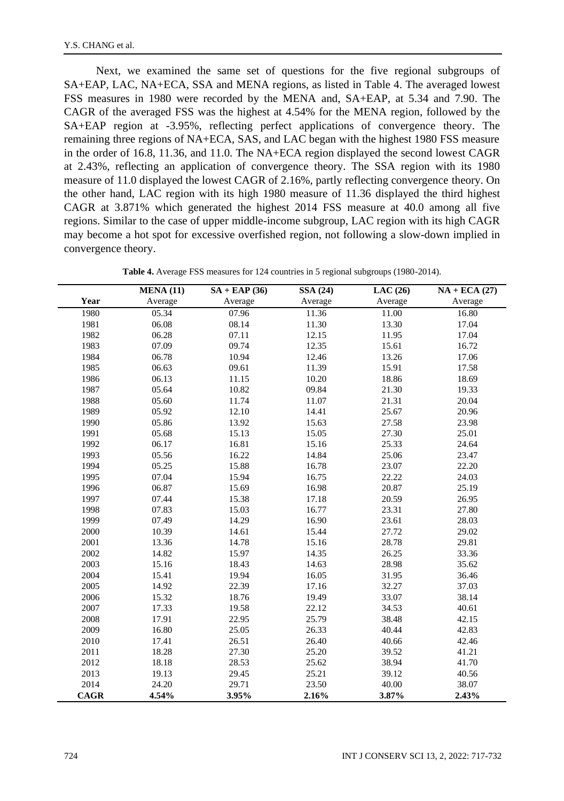Next, we examined the same set of questions for the five regional subgroups of SA+EAP, LAC, NA+ECA, SSA and MENA regions, as listed in Table 4. The averaged lowest FSS measures in 1980 were recorded by the MENA and, SA+EAP, at 5.34 and 7.90. The CAGR of the averaged FSS was the highest at 4.54% for the MENA region, followed by the SA+EAP region at -3.95%, reflecting perfect applications of convergence theory. The remaining three regions of NA+ECA, SAS, and LAC began with the highest 1980 FSS measure in the order of 16.8, 11.36, and 11.0. The NA+ECA region displayed the second lowest CAGR at 2.43%, reflecting an application of convergence theory. The SSA region with its 1980 measure of 11.0 displayed the lowest CAGR of 2.16%, partly reflecting convergence theory. On the other hand, LAC region with its high 1980 measure of 11.36 displayed the third highest CAGR at 3.871% which generated the highest 2014 FSS measure at 40.0 among all five regions. Similar to the case of upper middle-income subgroup, LAC region with its high CAGR may become a hot spot for excessive overfished region, not following a slow-down implied in convergence theory.

|             | <b>MENA (11)</b> | $SA + EAP(36)$ | <b>SSA (24)</b> | LAC(26) | $NA + ECA (27)$ |
|-------------|------------------|----------------|-----------------|---------|-----------------|
| Year        | Average          | Average        | Average         | Average | Average         |
| 1980        | 05.34            | 07.96          | 11.36           | 11.00   | 16.80           |
| 1981        | 06.08            | 08.14          | 11.30           | 13.30   | 17.04           |
| 1982        | 06.28            | 07.11          | 12.15           | 11.95   | 17.04           |
| 1983        | 07.09            | 09.74          | 12.35           | 15.61   | 16.72           |
| 1984        | 06.78            | 10.94          | 12.46           | 13.26   | 17.06           |
| 1985        | 06.63            | 09.61          | 11.39           | 15.91   | 17.58           |
| 1986        | 06.13            | 11.15          | 10.20           | 18.86   | 18.69           |
| 1987        | 05.64            | 10.82          | 09.84           | 21.30   | 19.33           |
| 1988        | 05.60            | 11.74          | 11.07           | 21.31   | 20.04           |
| 1989        | 05.92            | 12.10          | 14.41           | 25.67   | 20.96           |
| 1990        | 05.86            | 13.92          | 15.63           | 27.58   | 23.98           |
| 1991        | 05.68            | 15.13          | 15.05           | 27.30   | 25.01           |
| 1992        | 06.17            | 16.81          | 15.16           | 25.33   | 24.64           |
| 1993        | 05.56            | 16.22          | 14.84           | 25.06   | 23.47           |
| 1994        | 05.25            | 15.88          | 16.78           | 23.07   | 22.20           |
| 1995        | 07.04            | 15.94          | 16.75           | 22.22   | 24.03           |
| 1996        | 06.87            | 15.69          | 16.98           | 20.87   | 25.19           |
| 1997        | 07.44            | 15.38          | 17.18           | 20.59   | 26.95           |
| 1998        | 07.83            | 15.03          | 16.77           | 23.31   | 27.80           |
| 1999        | 07.49            | 14.29          | 16.90           | 23.61   | 28.03           |
| 2000        | 10.39            | 14.61          | 15.44           | 27.72   | 29.02           |
| 2001        | 13.36            | 14.78          | 15.16           | 28.78   | 29.81           |
| 2002        | 14.82            | 15.97          | 14.35           | 26.25   | 33.36           |
| 2003        | 15.16            | 18.43          | 14.63           | 28.98   | 35.62           |
| 2004        | 15.41            | 19.94          | 16.05           | 31.95   | 36.46           |
| 2005        | 14.92            | 22.39          | 17.16           | 32.27   | 37.03           |
| 2006        | 15.32            | 18.76          | 19.49           | 33.07   | 38.14           |
| 2007        | 17.33            | 19.58          | 22.12           | 34.53   | 40.61           |
| 2008        | 17.91            | 22.95          | 25.79           | 38.48   | 42.15           |
| 2009        | 16.80            | 25.05          | 26.33           | 40.44   | 42.83           |
| 2010        | 17.41            | 26.51          | 26.40           | 40.66   | 42.46           |
| 2011        | 18.28            | 27.30          | 25.20           | 39.52   | 41.21           |
| 2012        | 18.18            | 28.53          | 25.62           | 38.94   | 41.70           |
| 2013        | 19.13            | 29.45          | 25.21           | 39.12   | 40.56           |
| 2014        | 24.20            | 29.71          | 23.50           | 40.00   | 38.07           |
| <b>CAGR</b> | 4.54%            | 3.95%          | 2.16%           | 3.87%   | 2.43%           |

**Table 4.** Average FSS measures for 124 countries in 5 regional subgroups (1980-2014).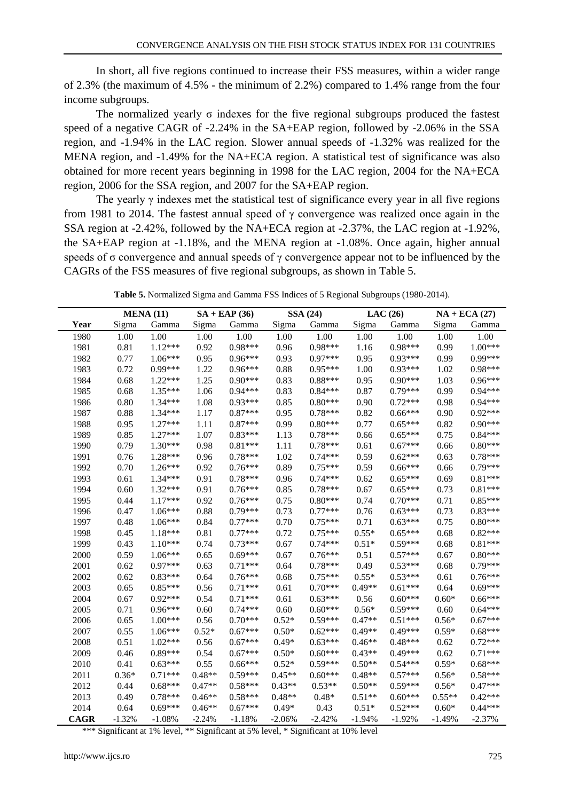In short, all five regions continued to increase their FSS measures, within a wider range of 2.3% (the maximum of 4.5% - the minimum of 2.2%) compared to 1.4% range from the four income subgroups.

The normalized yearly  $\sigma$  indexes for the five regional subgroups produced the fastest speed of a negative CAGR of -2.24% in the SA+EAP region, followed by -2.06% in the SSA region, and -1.94% in the LAC region. Slower annual speeds of -1.32% was realized for the MENA region, and -1.49% for the NA+ECA region. A statistical test of significance was also obtained for more recent years beginning in 1998 for the LAC region, 2004 for the NA+ECA region, 2006 for the SSA region, and 2007 for the SA+EAP region.

The yearly  $\gamma$  indexes met the statistical test of significance every year in all five regions from 1981 to 2014. The fastest annual speed of  $\gamma$  convergence was realized once again in the SSA region at -2.42%, followed by the NA+ECA region at -2.37%, the LAC region at -1.92%, the SA+EAP region at -1.18%, and the MENA region at -1.08%. Once again, higher annual speeds of  $\sigma$  convergence and annual speeds of  $\gamma$  convergence appear not to be influenced by the CAGRs of the FSS measures of five regional subgroups, as shown in Table 5.

|             | <b>MENA (11)</b> |           |          | $SA + EAP(36)$ |          | <b>SSA (24)</b> |          | LAC $(26)$ |          | $NA + ECA(27)$ |  |
|-------------|------------------|-----------|----------|----------------|----------|-----------------|----------|------------|----------|----------------|--|
| Year        | Sigma            | Gamma     | Sigma    | Gamma          | Sigma    | Gamma           | Sigma    | Gamma      | Sigma    | Gamma          |  |
| 1980        | 1.00             | 1.00      | 1.00     | 1.00           | 1.00     | 1.00            | 1.00     | 1.00       | 1.00     | 1.00           |  |
| 1981        | 0.81             | $1.12***$ | 0.92     | $0.98***$      | 0.96     | $0.98***$       | 1.16     | $0.98***$  | 0.99     | $1.00***$      |  |
| 1982        | 0.77             | $1.06***$ | 0.95     | $0.96***$      | 0.93     | $0.97***$       | 0.95     | $0.93***$  | 0.99     | $0.99***$      |  |
| 1983        | 0.72             | $0.99***$ | 1.22     | $0.96***$      | 0.88     | $0.95***$       | 1.00     | $0.93***$  | 1.02     | $0.98***$      |  |
| 1984        | 0.68             | $1.22***$ | 1.25     | $0.90***$      | 0.83     | $0.88***$       | 0.95     | $0.90***$  | 1.03     | $0.96***$      |  |
| 1985        | 0.68             | $1.35***$ | 1.06     | $0.94***$      | 0.83     | $0.84***$       | 0.87     | $0.79***$  | 0.99     | $0.94***$      |  |
| 1986        | 0.80             | $1.34***$ | 1.08     | $0.93***$      | 0.85     | $0.80***$       | 0.90     | $0.72***$  | 0.98     | $0.94***$      |  |
| 1987        | 0.88             | $1.34***$ | 1.17     | $0.87***$      | 0.95     | $0.78***$       | 0.82     | $0.66***$  | 0.90     | $0.92***$      |  |
| 1988        | 0.95             | $1.27***$ | 1.11     | $0.87***$      | 0.99     | $0.80***$       | 0.77     | $0.65***$  | 0.82     | $0.90***$      |  |
| 1989        | 0.85             | $1.27***$ | 1.07     | $0.83***$      | 1.13     | $0.78***$       | 0.66     | $0.65***$  | 0.75     | $0.84***$      |  |
| 1990        | 0.79             | $1.30***$ | 0.98     | $0.81***$      | 1.11     | $0.78***$       | 0.61     | $0.67***$  | 0.66     | $0.80***$      |  |
| 1991        | 0.76             | 1.28***   | 0.96     | $0.78***$      | 1.02     | $0.74***$       | 0.59     | $0.62***$  | 0.63     | $0.78***$      |  |
| 1992        | 0.70             | $1.26***$ | 0.92     | $0.76***$      | 0.89     | $0.75***$       | 0.59     | $0.66***$  | 0.66     | $0.79***$      |  |
| 1993        | 0.61             | $1.34***$ | 0.91     | $0.78***$      | 0.96     | $0.74***$       | 0.62     | $0.65***$  | 0.69     | $0.81***$      |  |
| 1994        | 0.60             | $1.32***$ | 0.91     | $0.76***$      | 0.85     | $0.78***$       | 0.67     | $0.65***$  | 0.73     | $0.81***$      |  |
| 1995        | 0.44             | $1.17***$ | 0.92     | $0.76***$      | 0.75     | $0.80***$       | 0.74     | $0.70***$  | 0.71     | $0.85***$      |  |
| 1996        | 0.47             | $1.06***$ | 0.88     | $0.79***$      | 0.73     | $0.77***$       | 0.76     | $0.63***$  | 0.73     | $0.83***$      |  |
| 1997        | 0.48             | $1.06***$ | 0.84     | $0.77***$      | 0.70     | $0.75***$       | 0.71     | $0.63***$  | 0.75     | $0.80***$      |  |
| 1998        | 0.45             | $1.18***$ | 0.81     | $0.77***$      | 0.72     | $0.75***$       | $0.55*$  | $0.65***$  | 0.68     | $0.82***$      |  |
| 1999        | 0.43             | $1.10***$ | 0.74     | $0.73***$      | 0.67     | $0.74***$       | $0.51*$  | $0.59***$  | 0.68     | $0.81***$      |  |
| 2000        | 0.59             | $1.06***$ | 0.65     | $0.69***$      | 0.67     | $0.76***$       | 0.51     | $0.57***$  | 0.67     | $0.80***$      |  |
| 2001        | 0.62             | $0.97***$ | 0.63     | $0.71***$      | 0.64     | $0.78***$       | 0.49     | $0.53***$  | 0.68     | $0.79***$      |  |
| 2002        | 0.62             | $0.83***$ | 0.64     | $0.76***$      | 0.68     | $0.75***$       | $0.55*$  | $0.53***$  | 0.61     | $0.76***$      |  |
| 2003        | 0.65             | $0.85***$ | 0.56     | $0.71***$      | 0.61     | $0.70***$       | $0.49**$ | $0.61***$  | 0.64     | $0.69***$      |  |
| 2004        | 0.67             | $0.92***$ | 0.54     | $0.71***$      | 0.61     | $0.63***$       | 0.56     | $0.60***$  | $0.60*$  | $0.66***$      |  |
| 2005        | 0.71             | $0.96***$ | 0.60     | $0.74***$      | 0.60     | $0.60***$       | $0.56*$  | $0.59***$  | 0.60     | $0.64***$      |  |
| 2006        | 0.65             | $1.00***$ | 0.56     | $0.70***$      | $0.52*$  | $0.59***$       | $0.47**$ | $0.51***$  | $0.56*$  | $0.67***$      |  |
| 2007        | 0.55             | $1.06***$ | $0.52*$  | $0.67***$      | $0.50*$  | $0.62***$       | $0.49**$ | $0.49***$  | $0.59*$  | $0.68***$      |  |
| 2008        | 0.51             | $1.02***$ | 0.56     | $0.67***$      | $0.49*$  | $0.63***$       | $0.46**$ | $0.48***$  | 0.62     | $0.72***$      |  |
| 2009        | 0.46             | $0.89***$ | 0.54     | $0.67***$      | $0.50*$  | $0.60***$       | $0.43**$ | $0.49***$  | 0.62     | $0.71***$      |  |
| 2010        | 0.41             | $0.63***$ | 0.55     | $0.66***$      | $0.52*$  | $0.59***$       | $0.50**$ | $0.54***$  | $0.59*$  | $0.68***$      |  |
| 2011        | $0.36*$          | $0.71***$ | $0.48**$ | $0.59***$      | $0.45**$ | $0.60***$       | $0.48**$ | $0.57***$  | $0.56*$  | $0.58***$      |  |
| 2012        | 0.44             | $0.68***$ | $0.47**$ | $0.58***$      | $0.43**$ | $0.53**$        | $0.50**$ | $0.59***$  | $0.56*$  | $0.47***$      |  |
| 2013        | 0.49             | $0.78***$ | $0.46**$ | $0.58***$      | $0.48**$ | $0.48*$         | $0.51**$ | $0.60***$  | $0.55**$ | $0.42***$      |  |
| 2014        | 0.64             | $0.69***$ | $0.46**$ | $0.67***$      | $0.49*$  | 0.43            | $0.51*$  | $0.52***$  | $0.60*$  | $0.44***$      |  |
| <b>CAGR</b> | $-1.32%$         | $-1.08%$  | $-2.24%$ | $-1.18%$       | $-2.06%$ | $-2.42%$        | $-1.94%$ | $-1.92%$   | $-1.49%$ | $-2.37%$       |  |

**Table 5.** Normalized Sigma and Gamma FSS Indices of 5 Regional Subgroups (1980-2014).

\*\*\* Significant at 1% level, \*\* Significant at 5% level, \* Significant at 10% level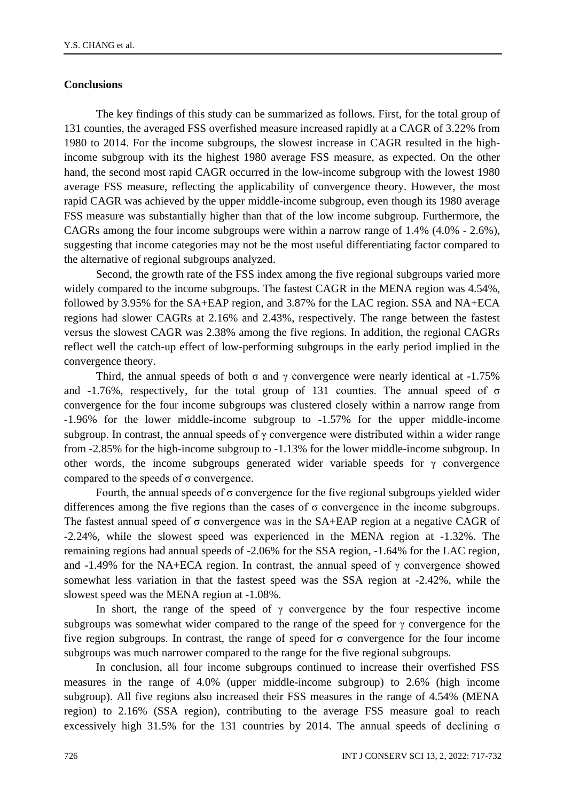## **Conclusions**

The key findings of this study can be summarized as follows. First, for the total group of 131 counties, the averaged FSS overfished measure increased rapidly at a CAGR of 3.22% from 1980 to 2014. For the income subgroups, the slowest increase in CAGR resulted in the highincome subgroup with its the highest 1980 average FSS measure, as expected. On the other hand, the second most rapid CAGR occurred in the low-income subgroup with the lowest 1980 average FSS measure, reflecting the applicability of convergence theory. However, the most rapid CAGR was achieved by the upper middle-income subgroup, even though its 1980 average FSS measure was substantially higher than that of the low income subgroup. Furthermore, the CAGRs among the four income subgroups were within a narrow range of 1.4% (4.0% - 2.6%), suggesting that income categories may not be the most useful differentiating factor compared to the alternative of regional subgroups analyzed.

Second, the growth rate of the FSS index among the five regional subgroups varied more widely compared to the income subgroups. The fastest CAGR in the MENA region was 4.54%, followed by 3.95% for the SA+EAP region, and 3.87% for the LAC region. SSA and NA+ECA regions had slower CAGRs at 2.16% and 2.43%, respectively. The range between the fastest versus the slowest CAGR was 2.38% among the five regions. In addition, the regional CAGRs reflect well the catch-up effect of low-performing subgroups in the early period implied in the convergence theory.

Third, the annual speeds of both  $\sigma$  and  $\gamma$  convergence were nearly identical at -1.75% and  $-1.76\%$ , respectively, for the total group of 131 counties. The annual speed of  $\sigma$ convergence for the four income subgroups was clustered closely within a narrow range from -1.96% for the lower middle-income subgroup to -1.57% for the upper middle-income subgroup. In contrast, the annual speeds of  $\gamma$  convergence were distributed within a wider range from -2.85% for the high-income subgroup to -1.13% for the lower middle-income subgroup. In other words, the income subgroups generated wider variable speeds for  $\gamma$  convergence compared to the speeds of σ convergence.

Fourth, the annual speeds of  $\sigma$  convergence for the five regional subgroups yielded wider differences among the five regions than the cases of  $\sigma$  convergence in the income subgroups. The fastest annual speed of σ convergence was in the SA+EAP region at a negative CAGR of -2.24%, while the slowest speed was experienced in the MENA region at -1.32%. The remaining regions had annual speeds of -2.06% for the SSA region, -1.64% for the LAC region, and -1.49% for the NA+ECA region. In contrast, the annual speed of  $\gamma$  convergence showed somewhat less variation in that the fastest speed was the SSA region at -2.42%, while the slowest speed was the MENA region at -1.08%.

In short, the range of the speed of  $\gamma$  convergence by the four respective income subgroups was somewhat wider compared to the range of the speed for  $\gamma$  convergence for the five region subgroups. In contrast, the range of speed for  $\sigma$  convergence for the four income subgroups was much narrower compared to the range for the five regional subgroups.

In conclusion, all four income subgroups continued to increase their overfished FSS measures in the range of 4.0% (upper middle-income subgroup) to 2.6% (high income subgroup). All five regions also increased their FSS measures in the range of 4.54% (MENA region) to 2.16% (SSA region), contributing to the average FSS measure goal to reach excessively high 31.5% for the 131 countries by 2014. The annual speeds of declining σ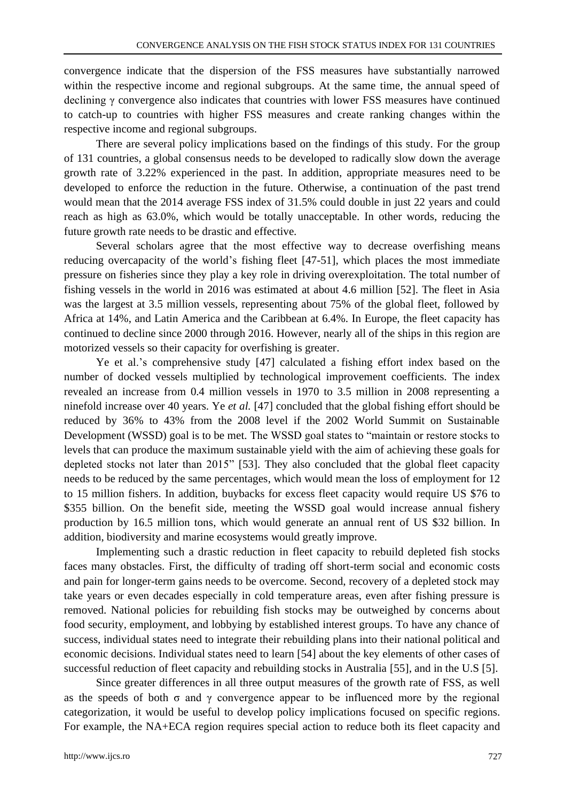convergence indicate that the dispersion of the FSS measures have substantially narrowed within the respective income and regional subgroups. At the same time, the annual speed of declining γ convergence also indicates that countries with lower FSS measures have continued to catch-up to countries with higher FSS measures and create ranking changes within the respective income and regional subgroups.

There are several policy implications based on the findings of this study. For the group of 131 countries, a global consensus needs to be developed to radically slow down the average growth rate of 3.22% experienced in the past. In addition, appropriate measures need to be developed to enforce the reduction in the future. Otherwise, a continuation of the past trend would mean that the 2014 average FSS index of 31.5% could double in just 22 years and could reach as high as 63.0%, which would be totally unacceptable. In other words, reducing the future growth rate needs to be drastic and effective.

Several scholars agree that the most effective way to decrease overfishing means reducing overcapacity of the world's fishing fleet [47-51], which places the most immediate pressure on fisheries since they play a key role in driving overexploitation. The total number of fishing vessels in the world in 2016 was estimated at about 4.6 million [52]. The fleet in Asia was the largest at 3.5 million vessels, representing about 75% of the global fleet, followed by Africa at 14%, and Latin America and the Caribbean at 6.4%. In Europe, the fleet capacity has continued to decline since 2000 through 2016. However, nearly all of the ships in this region are motorized vessels so their capacity for overfishing is greater.

Ye et al.'s comprehensive study [47] calculated a fishing effort index based on the number of docked vessels multiplied by technological improvement coefficients. The index revealed an increase from 0.4 million vessels in 1970 to 3.5 million in 2008 representing a ninefold increase over 40 years. Ye *et al.* [47] concluded that the global fishing effort should be reduced by 36% to 43% from the 2008 level if the 2002 World Summit on Sustainable Development (WSSD) goal is to be met. The WSSD goal states to "maintain or restore stocks to levels that can produce the maximum sustainable yield with the aim of achieving these goals for depleted stocks not later than 2015" [53]. They also concluded that the global fleet capacity needs to be reduced by the same percentages, which would mean the loss of employment for 12 to 15 million fishers. In addition, buybacks for excess fleet capacity would require US \$76 to \$355 billion. On the benefit side, meeting the WSSD goal would increase annual fishery production by 16.5 million tons, which would generate an annual rent of US \$32 billion. In addition, biodiversity and marine ecosystems would greatly improve.

Implementing such a drastic reduction in fleet capacity to rebuild depleted fish stocks faces many obstacles. First, the difficulty of trading off short-term social and economic costs and pain for longer-term gains needs to be overcome. Second, recovery of a depleted stock may take years or even decades especially in cold temperature areas, even after fishing pressure is removed. National policies for rebuilding fish stocks may be outweighed by concerns about food security, employment, and lobbying by established interest groups. To have any chance of success, individual states need to integrate their rebuilding plans into their national political and economic decisions. Individual states need to learn [54] about the key elements of other cases of successful reduction of fleet capacity and rebuilding stocks in Australia [55], and in the U.S [5].

Since greater differences in all three output measures of the growth rate of FSS, as well as the speeds of both  $\sigma$  and  $\gamma$  convergence appear to be influenced more by the regional categorization, it would be useful to develop policy implications focused on specific regions. For example, the NA+ECA region requires special action to reduce both its fleet capacity and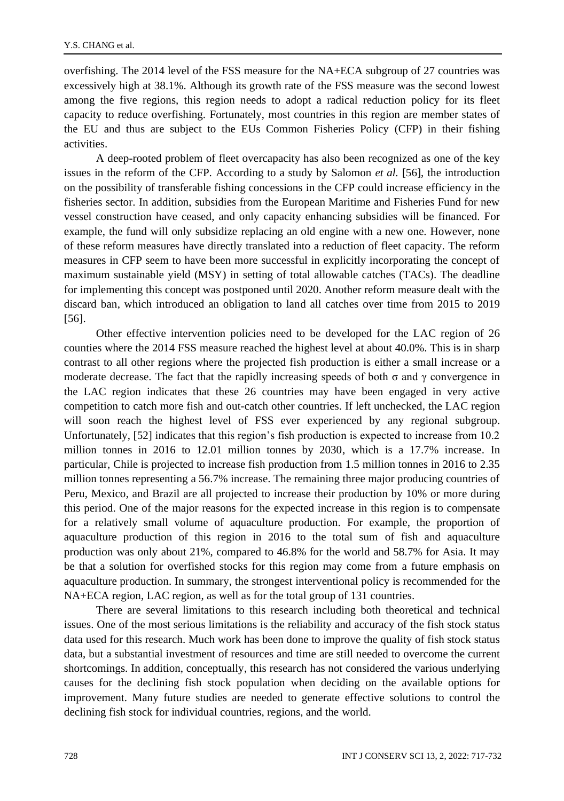overfishing. The 2014 level of the FSS measure for the NA+ECA subgroup of 27 countries was excessively high at 38.1%. Although its growth rate of the FSS measure was the second lowest among the five regions, this region needs to adopt a radical reduction policy for its fleet capacity to reduce overfishing. Fortunately, most countries in this region are member states of the EU and thus are subject to the EUs Common Fisheries Policy (CFP) in their fishing activities.

A deep-rooted problem of fleet overcapacity has also been recognized as one of the key issues in the reform of the CFP. According to a study by Salomon *et al.* [56], the introduction on the possibility of transferable fishing concessions in the CFP could increase efficiency in the fisheries sector. In addition, subsidies from the European Maritime and Fisheries Fund for new vessel construction have ceased, and only capacity enhancing subsidies will be financed. For example, the fund will only subsidize replacing an old engine with a new one. However, none of these reform measures have directly translated into a reduction of fleet capacity. The reform measures in CFP seem to have been more successful in explicitly incorporating the concept of maximum sustainable yield (MSY) in setting of total allowable catches (TACs). The deadline for implementing this concept was postponed until 2020. Another reform measure dealt with the discard ban, which introduced an obligation to land all catches over time from 2015 to 2019 [56].

Other effective intervention policies need to be developed for the LAC region of 26 counties where the 2014 FSS measure reached the highest level at about 40.0%. This is in sharp contrast to all other regions where the projected fish production is either a small increase or a moderate decrease. The fact that the rapidly increasing speeds of both  $\sigma$  and  $\gamma$  convergence in the LAC region indicates that these 26 countries may have been engaged in very active competition to catch more fish and out-catch other countries. If left unchecked, the LAC region will soon reach the highest level of FSS ever experienced by any regional subgroup. Unfortunately, [52] indicates that this region's fish production is expected to increase from 10.2 million tonnes in 2016 to 12.01 million tonnes by 2030, which is a 17.7% increase. In particular, Chile is projected to increase fish production from 1.5 million tonnes in 2016 to 2.35 million tonnes representing a 56.7% increase. The remaining three major producing countries of Peru, Mexico, and Brazil are all projected to increase their production by 10% or more during this period. One of the major reasons for the expected increase in this region is to compensate for a relatively small volume of aquaculture production. For example, the proportion of aquaculture production of this region in 2016 to the total sum of fish and aquaculture production was only about 21%, compared to 46.8% for the world and 58.7% for Asia. It may be that a solution for overfished stocks for this region may come from a future emphasis on aquaculture production. In summary, the strongest interventional policy is recommended for the NA+ECA region, LAC region, as well as for the total group of 131 countries.

There are several limitations to this research including both theoretical and technical issues. One of the most serious limitations is the reliability and accuracy of the fish stock status data used for this research. Much work has been done to improve the quality of fish stock status data, but a substantial investment of resources and time are still needed to overcome the current shortcomings. In addition, conceptually, this research has not considered the various underlying causes for the declining fish stock population when deciding on the available options for improvement. Many future studies are needed to generate effective solutions to control the declining fish stock for individual countries, regions, and the world.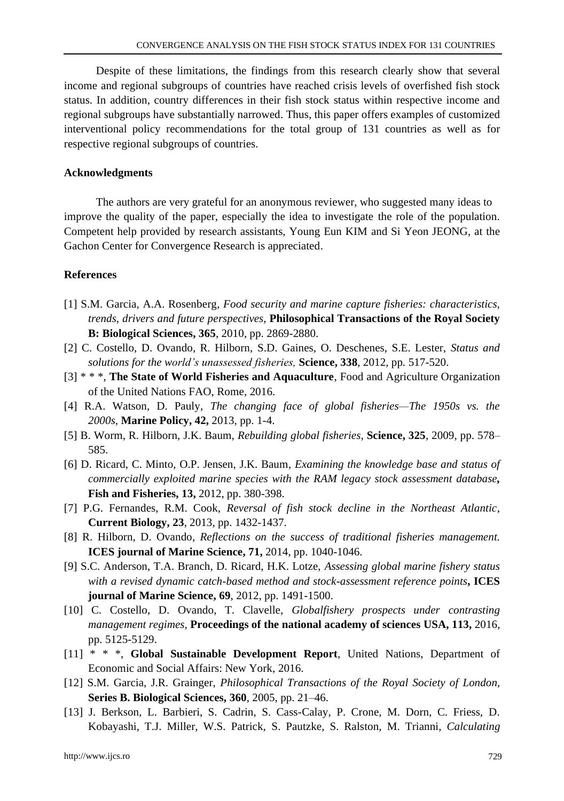Despite of these limitations, the findings from this research clearly show that several income and regional subgroups of countries have reached crisis levels of overfished fish stock status. In addition, country differences in their fish stock status within respective income and regional subgroups have substantially narrowed. Thus, this paper offers examples of customized interventional policy recommendations for the total group of 131 countries as well as for respective regional subgroups of countries.

### **Acknowledgments**

The authors are very grateful for an anonymous reviewer, who suggested many ideas to improve the quality of the paper, especially the idea to investigate the role of the population. Competent help provided by research assistants, Young Eun KIM and Si Yeon JEONG, at the Gachon Center for Convergence Research is appreciated.

## **References**

- [1] S.M. Garcia, A.A. Rosenberg, *Food security and marine capture fisheries: characteristics, trends, drivers and future perspectives*, **Philosophical Transactions of the Royal Society B: Biological Sciences, 365**, 2010, pp. 2869-2880.
- [2] C. Costello, D. Ovando, R. Hilborn, S.D. Gaines, O. Deschenes, S.E. Lester, *Status and solutions for the world's unassessed fisheries,* **Science, 338**, 2012, pp. 517-520.
- [3] \* \* \*, **The State of World Fisheries and Aquaculture**, Food and Agriculture Organization of the United Nations FAO, Rome, 2016.
- [4] R.A. Watson, D. Pauly, *The changing face of global fisheries—The 1950s vs. the 2000s,* **Marine Policy, 42,** 2013, pp. 1-4.
- [5] B. Worm, R. Hilborn, J.K. Baum, *Rebuilding global fisheries*, **Science, 325**, 2009, pp. 578– 585.
- [6] D. Ricard, C. Minto, O.P. Jensen, J.K. Baum*, Examining the knowledge base and status of commercially exploited marine species with the RAM legacy stock assessment database,*  **Fish and Fisheries, 13,** 2012, pp. 380-398.
- [7] P.G. Fernandes, R.M. Cook, *Reversal of fish stock decline in the Northeast Atlantic*, **Current Biology, 23**, 2013, pp. 1432-1437.
- [8] R. Hilborn, D. Ovando*, Reflections on the success of traditional fisheries management.* **ICES journal of Marine Science, 71,** 2014, pp. 1040-1046.
- [9] S.C. Anderson, T.A. Branch, D. Ricard, H.K. Lotze, *Assessing global marine fishery status with a revised dynamic catch-based method and stock-assessment reference points***, ICES journal of Marine Science, 69**, 2012, pp. 1491-1500.
- [10] C. Costello, D. Ovando, T. Clavelle, *Globalfishery prospects under contrasting management regimes,* **Proceedings of the national academy of sciences USA, 113,** 2016, pp. 5125-5129.
- [11] \* \* \*, **Global Sustainable Development Report***,* United Nations, Department of Economic and Social Affairs: New York, 2016.
- [12] S.M. Garcia, J.R. Grainger, *Philosophical Transactions of the Royal Society of London,* **Series B. Biological Sciences, 360**, 2005, pp. 21–46.
- [13] J. Berkson, L. Barbieri, S. Cadrin, S. Cass-Calay, P. Crone, M. Dorn, C. Friess, D. Kobayashi, T.J. Miller, W.S. Patrick, S. Pautzke, S. Ralston, M. Trianni, *Calculating*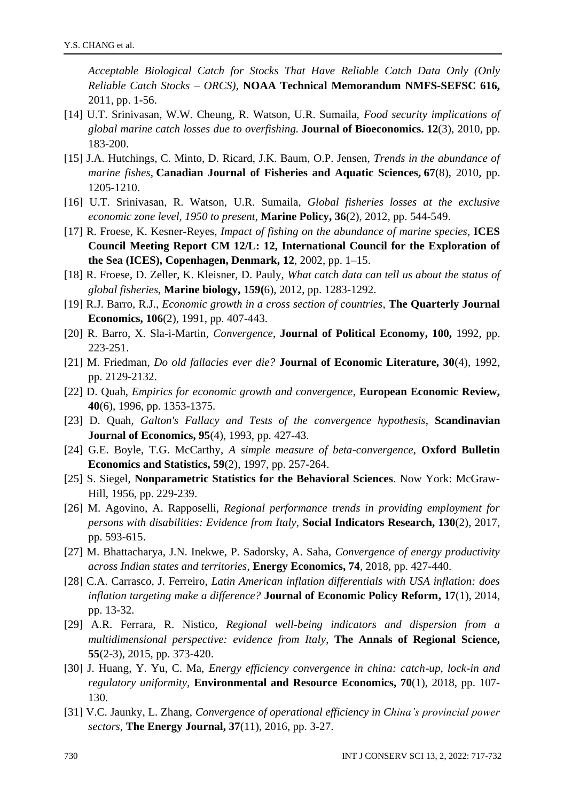*Acceptable Biological Catch for Stocks That Have Reliable Catch Data Only (Only Reliable Catch Stocks – ORCS),* **NOAA Technical Memorandum NMFS-SEFSC 616,** 2011, pp. 1-56.

- [14] U.T. Srinivasan, W.W. Cheung, R. Watson, U.R. Sumaila, *Food security implications of global marine catch losses due to overfishing.* **Journal of Bioeconomics. 12**(3), 2010, pp. 183-200.
- [15] J.A. Hutchings, C. Minto, D. Ricard, J.K. Baum, O.P. Jensen, *Trends in the abundance of marine fishes*, **Canadian Journal of Fisheries and Aquatic Sciences, 67**(8), 2010, pp. 1205-1210.
- [16] U.T. Srinivasan, R. Watson, U.R. Sumaila*, Global fisheries losses at the exclusive economic zone level, 1950 to present*, **Marine Policy, 36**(2), 2012, pp. 544-549.
- [17] R. Froese, K. Kesner-Reyes, *Impact of fishing on the abundance of marine species*, **ICES Council Meeting Report CM 12/L: 12, International Council for the Exploration of the Sea (ICES), Copenhagen, Denmark, 12**, 2002, pp. 1–15.
- [18] R. Froese, D. Zeller, K. Kleisner, D. Pauly, *What catch data can tell us about the status of global fisheries*, **Marine biology, 159(**6), 2012, pp. 1283-1292.
- [19] R.J. Barro, R.J., *Economic growth in a cross section of countries*, **The Quarterly Journal Economics, 106**(2), 1991, pp. 407-443.
- [20] R. Barro, X. Sla-i-Martin, *Convergence*, **Journal of Political Economy, 100,** 1992, pp. 223-251.
- [21] M. Friedman, *Do old fallacies ever die?* **Journal of Economic Literature, 30**(4), 1992, pp. 2129-2132.
- [22] D. Quah, *Empirics for economic growth and convergence*, **European Economic Review, 40**(6), 1996, pp. 1353-1375.
- [23] D. Quah*, Galton's Fallacy and Tests of the convergence hypothesis*, **Scandinavian Journal of Economics, 95**(4), 1993, pp. 427-43.
- [24] G.E. Boyle, T.G. McCarthy, *A simple measure of beta-convergence,* **Oxford Bulletin Economics and Statistics, 59**(2), 1997, pp. 257-264.
- [25] S. Siegel, **Nonparametric Statistics for the Behavioral Sciences**. Now York: McGraw-Hill, 1956, pp. 229-239.
- [26] M. Agovino, A. Rapposelli, *Regional performance trends in providing employment for persons with disabilities: Evidence from Italy*, **Social Indicators Research, 130**(2), 2017, pp. 593-615.
- [27] M. Bhattacharya, J.N. Inekwe, P. Sadorsky, A. Saha, *Convergence of energy productivity across Indian states and territories*, **Energy Economics, 74**, 2018, pp. 427-440.
- [28] C.A. Carrasco, J. Ferreiro, *Latin American inflation differentials with USA inflation: does inflation targeting make a difference?* **Journal of Economic Policy Reform, 17**(1), 2014, pp. 13-32.
- [29] A.R. Ferrara, R. Nistico, *Regional well-being indicators and dispersion from a multidimensional perspective: evidence from Italy*, **The Annals of Regional Science, 55**(2-3), 2015, pp. 373-420.
- [30] J. Huang, Y. Yu, C. Ma, *Energy efficiency convergence in china: catch-up, lock-in and regulatory uniformity*, **Environmental and Resource Economics, 70**(1), 2018, pp. 107- 130.
- [31] V.C. Jaunky, L. Zhang, *Convergence of operational efficiency in China's provincial power sectors*, **The Energy Journal, 37**(11), 2016, pp. 3-27.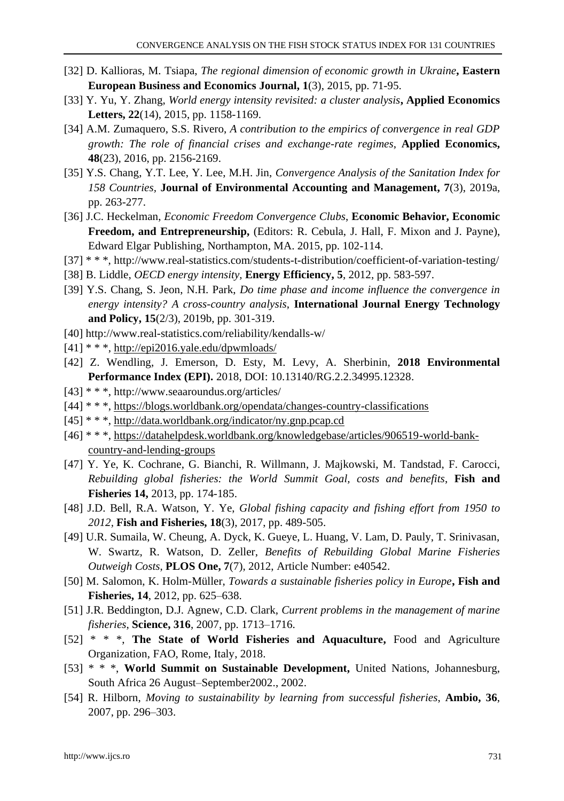- [32] D. Kallioras, M. Tsiapa, *The regional dimension of economic growth in Ukraine***, Eastern European Business and Economics Journal, 1**(3), 2015, pp. 71-95.
- [33] Y. Yu, Y. Zhang, *World energy intensity revisited: a cluster analysis***, Applied Economics Letters, 22**(14), 2015, pp. 1158-1169.
- [34] A.M. Zumaquero, S.S. Rivero, *A contribution to the empirics of convergence in real GDP growth: The role of financial crises and exchange-rate regimes*, **Applied Economics, 48**(23), 2016, pp. 2156-2169.
- [35] Y.S. Chang, Y.T. Lee, Y. Lee, M.H. Jin, *Convergence Analysis of the Sanitation Index for 158 Countries,* **Journal of Environmental Accounting and Management, 7**(3), 2019a, pp. 263-277.
- [36] J.C. Heckelman, *Economic Freedom Convergence Clubs*, **Economic Behavior, Economic Freedom, and Entrepreneurship,** (Editors: R. Cebula, J. Hall, F. Mixon and J. Payne), Edward Elgar Publishing, Northampton, MA. 2015, pp. 102-114.
- [37] \* \* \*,<http://www.real-statistics.com/students-t-distribution/coefficient-of-variation-testing/>
- [38] B. Liddle, *OECD energy intensity,* **Energy Efficiency, 5**, 2012, pp. 583-597.
- [39] Y.S. Chang, S. Jeon, N.H. Park, *Do time phase and income influence the convergence in energy intensity? A cross-country analysis*, **International Journal Energy Technology and Policy, 15**(2/3), 2019b, pp. 301-319.
- [40]<http://www.real-statistics.com/reliability/kendalls-w/>
- $[41]$  \* \* \*,<http://epi2016.yale.edu/dpwmloads/>
- [42] Z. Wendling, J. Emerson, D. Esty, M. Levy, A. Sherbinin, **2018 Environmental Performance Index (EPI).** 2018, DOI: 10.13140/RG.2.2.34995.12328.
- [43] \* \* \*, http://www.seaaroundus.org/articles/
- [44] \* \* \*, <https://blogs.worldbank.org/opendata/changes-country-classifications>
- [45] \* \* \*, <http://data.worldbank.org/indicator/ny.gnp.pcap.cd>
- [46] \* \* \*, [https://datahelpdesk.worldbank.org/knowledgebase/articles/906519-world-bank](https://datahelpdesk.worldbank.org/knowledgebase/articles/906519-world-bank-country-and-lending-groups)[country-and-lending-groups](https://datahelpdesk.worldbank.org/knowledgebase/articles/906519-world-bank-country-and-lending-groups)
- [47] Y. Ye, K. Cochrane, G. Bianchi, R. Willmann, J. Majkowski, M. Tandstad, F. Carocci, *Rebuilding global fisheries: the World Summit Goal, costs and benefits*, **Fish and Fisheries 14,** 2013, pp. 174-185.
- [48] J.D. Bell, R.A. Watson, Y. Ye, *[Global fishing capacity and fishing effort from 1950 to](javascript:void(0))  [2012,](javascript:void(0))* **Fish and Fisheries, 18**(3), 2017, pp. 489-505.
- [49] U.R. Sumaila, W. Cheung, A. Dyck, K. Gueye, L. Huang, V. Lam, D. Pauly, T. Srinivasan, W. Swartz, R. Watson, D. Zeller, *Benefits of Rebuilding Global Marine Fisheries Outweigh Costs*, **PLOS One, 7**(7), 2012, Article Number: e40542.
- [50] M. Salomon, K. Holm-Müller, *Towards a sustainable fisheries policy in Europe***, Fish and Fisheries, 14**, 2012, pp. 625–638.
- [51] J.R. Beddington, D.J. Agnew, C.D. Clark, *Current problems in the management of marine fisheries*, **Science, 316**, 2007, pp. 1713–1716.
- [52] \* \* \*, **The State of World Fisheries and Aquaculture,** Food and Agriculture Organization, FAO, Rome, Italy, 2018.
- [53] \* \* \*, **World Summit on Sustainable Development,** United Nations, Johannesburg, South Africa 26 August–September2002., 2002.
- [54] R. Hilborn, *Moving to sustainability by learning from successful fisheries*, **Ambio, 36**, 2007, pp. 296–303.